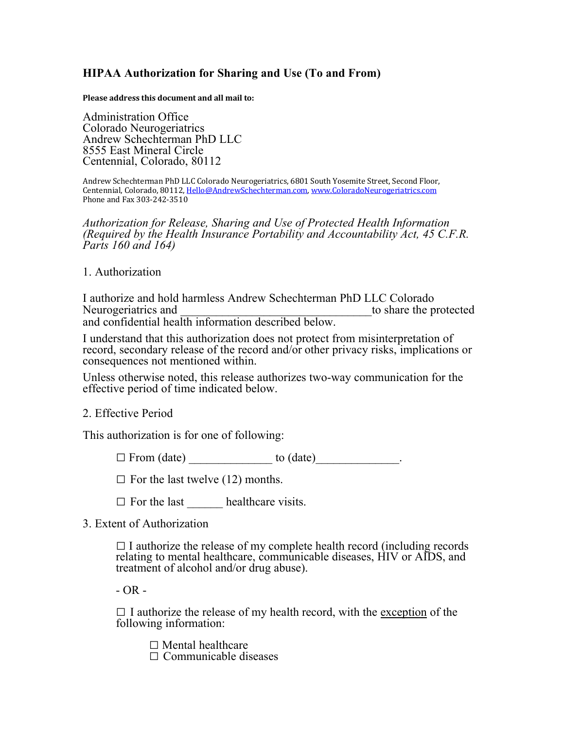## **HIPAA Authorization for Sharing and Use (To and From)**

**Please address this document and all mail to:** 

Administration Office Colorado Neurogeriatrics Andrew Schechterman PhD LLC 8555 East Mineral Circle Centennial, Colorado, 80112

Andrew Schechterman PhD LLC Colorado Neurogeriatrics, 6801 South Yosemite Street, Second Floor, Centennial, Colorado, 80112, Hello@AndrewSchechterman.com, www.ColoradoNeurogeriatrics.com Phone and Fax 303-242-3510

*Authorization for Release, Sharing and Use of Protected Health Information (Required by the Health Insurance Portability and Accountability Act, 45 C.F.R. Parts 160 and 164)*

## 1. Authorization

I authorize and hold harmless Andrew Schechterman PhD LLC Colorado Neurogeriatrics and to share the protected and confidential health information described below.

I understand that this authorization does not protect from misinterpretation of record, secondary release of the record and/or other privacy risks, implications or consequences not mentioned within.

Unless otherwise noted, this release authorizes two-way communication for the effective period of time indicated below.

## 2. Effective Period

This authorization is for one of following:

 $\Box$  From (date)  $\Box$  to (date)  $\Box$ 

 $\square$  For the last twelve (12) months.

 $\Box$  For the last healthcare visits.

3. Extent of Authorization

 $\Box$  I authorize the release of my complete health record (including records relating to mental healthcare, communicable diseases, HIV or AIDS, and treatment of alcohol and/or drug abuse).

 $- OR -$ 

 $\Box$  I authorize the release of my health record, with the exception of the following information:

 $\square$  Mental healthcare

 $\Box$  Communicable diseases